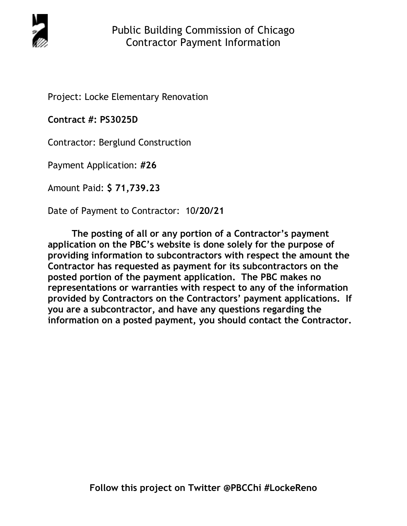

Project: Locke Elementary Renovation

**Contract #: PS3025D**

Contractor: Berglund Construction

Payment Application: **#26** 

Amount Paid: **\$ 71,739.23** 

Date of Payment to Contractor: 10**/20/21** 

**The posting of all or any portion of a Contractor's payment application on the PBC's website is done solely for the purpose of providing information to subcontractors with respect the amount the Contractor has requested as payment for its subcontractors on the posted portion of the payment application. The PBC makes no representations or warranties with respect to any of the information provided by Contractors on the Contractors' payment applications. If you are a subcontractor, and have any questions regarding the information on a posted payment, you should contact the Contractor.**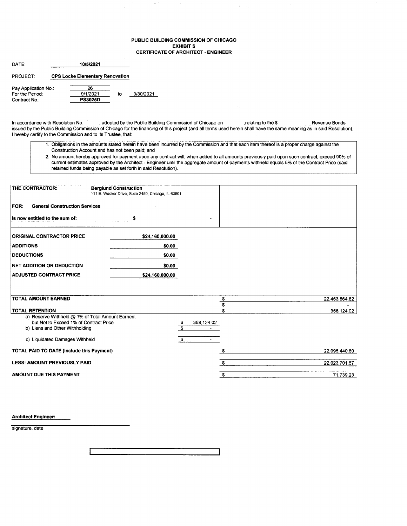## PUBLIC BUILDING COMMISSION OF CHICAGO EXHIBIT S CERTIFICATE OF ARCHITECT. ENGINEER

| DATE:                |  |                                        |    |           |
|----------------------|--|----------------------------------------|----|-----------|
| PROJECT.             |  | <b>CPS Locke Elementary Renovation</b> |    |           |
| Pay Application No.: |  | 26                                     |    |           |
| For the Period:      |  | 9/1/2021                               | to | 9/30/2021 |
| Contract No          |  | <b>PS3025D</b>                         |    |           |

ln accordance with Resolution No.\_, adopted by the Public Building Commissiorl of Chicago on\_,relating to the \$\_Revenue Bonds issued by the Public Building Commission of Chicago for the financing of this project (and all terms used herein shall have the same meaning as in said Resolution), I hereby certify to the Commission and to its Trustee, that:

- 1. Obligations in the amounts stated herein have been incurred by the Commission and that each item thereof is a proper charge against the Construction Account and has not been paid, and
- 2. No amount hereby approved for payment upon any contract will, when added to all amounts previously paid upon such contract, exceed 90% of current estimates approved by the Architect - Engineer until the aggregate amount of payments withheld equals 5olo of the Contract Price (said retained funds being payable as set forth in said Resolution).

| THE CONTRACTOR:                                                                                                                                                | <b>Berglund Construction</b><br>111 E. Wacker Drive, Suite 2450, Chicago, IL 60601 |                        |               |
|----------------------------------------------------------------------------------------------------------------------------------------------------------------|------------------------------------------------------------------------------------|------------------------|---------------|
| <b>General Construction Services</b><br><b>FOR:</b>                                                                                                            |                                                                                    |                        |               |
| Is now entitled to the sum of:                                                                                                                                 | s                                                                                  |                        |               |
| <b>ORIGINAL CONTRACTOR PRICE</b>                                                                                                                               | \$24,160,000.00                                                                    |                        |               |
| <b>ADDITIONS</b>                                                                                                                                               | \$0.00                                                                             |                        |               |
| <b>IDEDUCTIONS</b>                                                                                                                                             | \$0.00                                                                             |                        |               |
| <b>INET ADDITION OR DEDUCTION</b>                                                                                                                              | \$0.00                                                                             |                        |               |
| <b>ADJUSTED CONTRACT PRICE</b>                                                                                                                                 | \$24,160,000.00                                                                    |                        |               |
|                                                                                                                                                                |                                                                                    |                        |               |
| <b>TOTAL AMOUNT EARNED</b>                                                                                                                                     |                                                                                    | \$                     | 22,453,564.82 |
| <b>TOTAL RETENTION</b>                                                                                                                                         |                                                                                    | \$                     | 358,124.02    |
| a) Reserve Withheld @ 1% of Total Amount Earned,<br>but Not to Exceed 1% of Contract Price<br>b) Liens and Other Withholding<br>c) Liquidated Damages Withheld |                                                                                    | 358,124.02<br>\$<br>\$ |               |
| TOTAL PAID TO DATE (Include this Payment)                                                                                                                      |                                                                                    |                        | 22,095,440.80 |
| <b>LESS: AMOUNT PREVIOUSLY PAID</b>                                                                                                                            |                                                                                    | \$                     | 22,023,701.57 |
| AMOUNT DUE THIS PAYMENT                                                                                                                                        |                                                                                    | £.                     | 71,739.23     |

Architect Engineer:

signature, date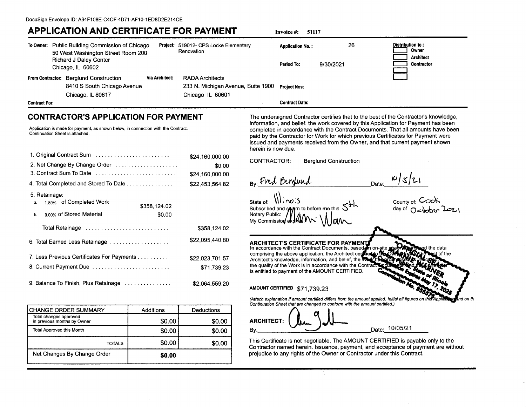## **APPLICATION AND CERTIFICATE FOR PAYMENT**

**Invoice #: 51117** 

| To Owner:                                       | Public Building Commission of Chicago<br>50 West Washington Street Room 200<br>Richard J Daley Center<br>Chicago, IL 60602                                          |                       | Project: 519012- CPS Locke Elementary<br>Renovation                              |                    | <b>Application No.:</b><br>Period To:        | 26<br>9/30/2021              | Distribution to:<br>Owner<br><b>Architect</b><br>Contractor                                                                                                                                                                                                                                                                                                                                                                      |
|-------------------------------------------------|---------------------------------------------------------------------------------------------------------------------------------------------------------------------|-----------------------|----------------------------------------------------------------------------------|--------------------|----------------------------------------------|------------------------------|----------------------------------------------------------------------------------------------------------------------------------------------------------------------------------------------------------------------------------------------------------------------------------------------------------------------------------------------------------------------------------------------------------------------------------|
| <b>From Contractor:</b><br><b>Contract For:</b> | <b>Berglund Construction</b><br>8410 S South Chicago Avenue<br>Chicago, IL 60617                                                                                    | <b>Via Architect:</b> | <b>RADA Architects</b><br>233 N. Michigan Avenue, Suite 1900<br>Chicago IL 60601 |                    | <b>Project Nos:</b><br><b>Contract Date:</b> |                              |                                                                                                                                                                                                                                                                                                                                                                                                                                  |
|                                                 | <b>CONTRACTOR'S APPLICATION FOR PAYMENT</b><br>Application is made for payment, as shown below, in connection with the Contract.<br>Continuation Sheet is attached. |                       |                                                                                  | herein is now due. |                                              |                              | The undersigned Contractor certifies that to the best of the Contractor's knowledge,<br>information, and belief, the work covered by this Application for Payment has been<br>completed in accordance with the Contract Documents. That all amounts have been<br>paid by the Contractor for Work for which previous Certificates for Payment were<br>issued and payments received from the Owner, and that current payment shown |
|                                                 | 1. Original Contract Sum<br>2. Net Change By Change Order                                                                                                           |                       | \$24,160,000.00<br>\$0.00                                                        | CONTRACTOR:        |                                              | <b>Berglund Construction</b> |                                                                                                                                                                                                                                                                                                                                                                                                                                  |

| 1. Original Contract Sum                                                   | \$24,160,000.00 |
|----------------------------------------------------------------------------|-----------------|
| 2. Net Change By Change Order                                              | \$0.00          |
| 3. Contract Sum To Date                                                    | \$24,160,000.00 |
| 4. Total Completed and Stored To Date                                      | \$22,453,564.82 |
| 5. Retainage:<br><sub>1.59%</sub> of Completed Work<br>a.                  | \$358,124.02    |
| n nn s of Stored Material<br>b.                                            | \$0.00          |
| Total Retainage in the context of the context of the Total Potal Retainage | \$358,124.02    |
| 6. Total Earned Less Retainage                                             | \$22.095.440.80 |
| 7. Less Previous Certificates For Payments                                 | \$22,023,701.57 |
| 8. Current Payment Due                                                     | \$71,739.23     |
| 9. Balance To Finish, Plus Retainage                                       | \$2.064,559.20  |

| <b>CHANGE ORDER SUMMARY</b>                           | Additions | Deductions |
|-------------------------------------------------------|-----------|------------|
| Total changes approved<br>in previous months by Owner | \$0.00    | \$0.00     |
| <b>Total Approved this Month</b>                      | \$0.00    | \$0.00     |
| TOTALS                                                | \$0.00    | \$0.00     |
| Net Changes By Change Order                           | \$0.00    |            |

By End Birghund

 $10/s/c1$ Date:

State of:  $\iiint \n\alpha$ : S Subscribed and supern to before me this Notary Public: My Commission ex

county of: Cook<br>day of Oسیاسی کمحد

**ARCHITECT'S CERTIFICATE FOR PAYMENT**<br>In accordance with the Contract Documents, based

d the data comprising the above application, the Architect certified to st of the Architect's knowledge, information, and belief, the W the quality of the Work is in accordance with the Contrac is entitled to payment of the AMOUNT CERTIFIED.

AMOUNT CERTIFIED \$71,739.23

(Attach explanation if amount certified differs from the amount applied. Initial all figures on this nd on th Continuation Sheet that are changed to conform with the amount certified.)

**ARCHITECT:** Date: 10/05/21 By.

This Certificate is not negotiable. The AMOUNT CERTIFIED is payable only to the Contractor named herein. Issuance, payment, and acceptance of payment are without prejudice to any rights of the Owner or Contractor under this Contract.